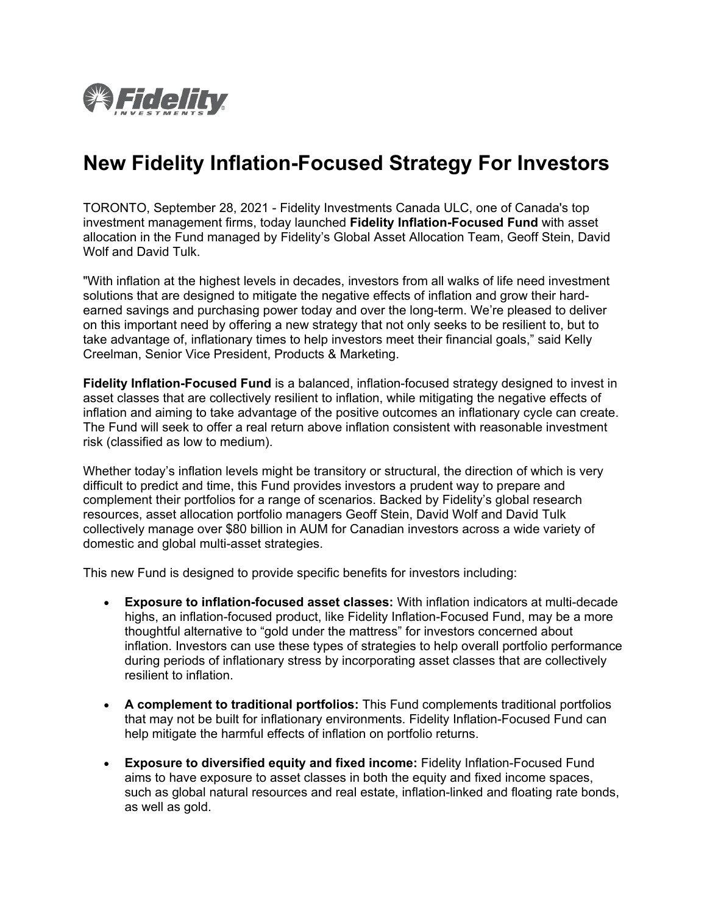

# **New Fidelity Inflation-Focused Strategy For Investors**

TORONTO, September 28, 2021 - Fidelity Investments Canada ULC, one of Canada's top investment management firms, today launched **Fidelity Inflation-Focused Fund** with asset allocation in the Fund managed by Fidelity's Global Asset Allocation Team, Geoff Stein, David Wolf and David Tulk.

"With inflation at the highest levels in decades, investors from all walks of life need investment solutions that are designed to mitigate the negative effects of inflation and grow their hardearned savings and purchasing power today and over the long-term. We're pleased to deliver on this important need by offering a new strategy that not only seeks to be resilient to, but to take advantage of, inflationary times to help investors meet their financial goals," said Kelly Creelman, Senior Vice President, Products & Marketing.

**Fidelity Inflation-Focused Fund** is a balanced, inflation-focused strategy designed to invest in asset classes that are collectively resilient to inflation, while mitigating the negative effects of inflation and aiming to take advantage of the positive outcomes an inflationary cycle can create. The Fund will seek to offer a real return above inflation consistent with reasonable investment risk (classified as low to medium).

Whether today's inflation levels might be transitory or structural, the direction of which is very difficult to predict and time, this Fund provides investors a prudent way to prepare and complement their portfolios for a range of scenarios. Backed by Fidelity's global research resources, asset allocation portfolio managers Geoff Stein, David Wolf and David Tulk collectively manage over \$80 billion in AUM for Canadian investors across a wide variety of domestic and global multi-asset strategies.

This new Fund is designed to provide specific benefits for investors including:

- **Exposure to inflation-focused asset classes:** With inflation indicators at multi-decade highs, an inflation-focused product, like Fidelity Inflation-Focused Fund, may be a more thoughtful alternative to "gold under the mattress" for investors concerned about inflation. Investors can use these types of strategies to help overall portfolio performance during periods of inflationary stress by incorporating asset classes that are collectively resilient to inflation.
- **A complement to traditional portfolios:** This Fund complements traditional portfolios that may not be built for inflationary environments. Fidelity Inflation-Focused Fund can help mitigate the harmful effects of inflation on portfolio returns.
- **Exposure to diversified equity and fixed income:** Fidelity Inflation-Focused Fund aims to have exposure to asset classes in both the equity and fixed income spaces, such as global natural resources and real estate, inflation-linked and floating rate bonds, as well as gold.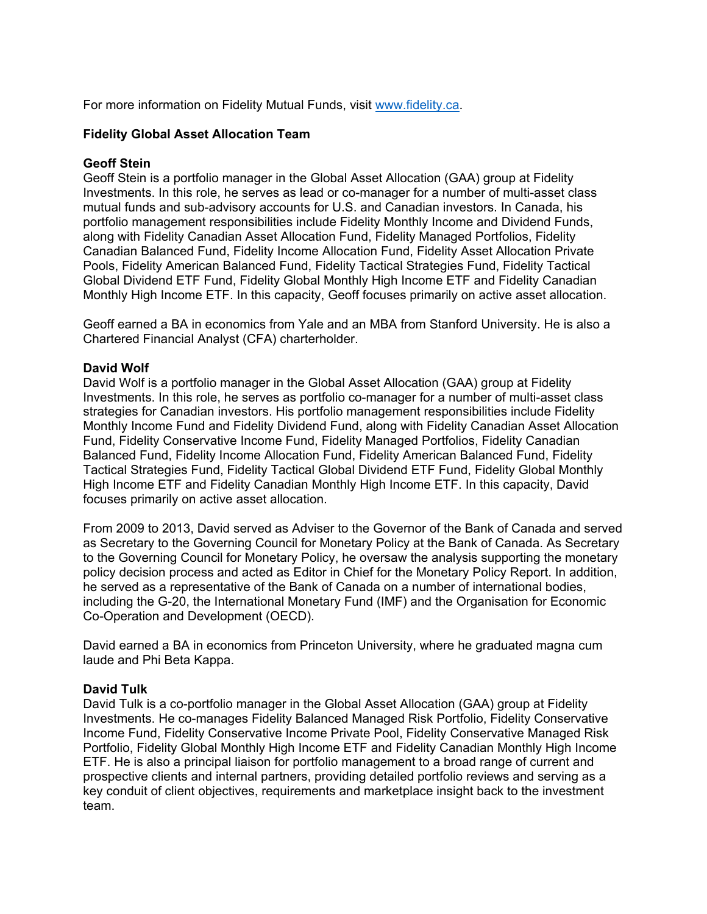For more information on Fidelity Mutual Funds, visit [www.fidelity.ca.](http://www.fidelity.ca/)

# **Fidelity Global Asset Allocation Team**

# **Geoff Stein**

Geoff Stein is a portfolio manager in the Global Asset Allocation (GAA) group at Fidelity Investments. In this role, he serves as lead or co-manager for a number of multi-asset class mutual funds and sub-advisory accounts for U.S. and Canadian investors. In Canada, his portfolio management responsibilities include Fidelity Monthly Income and Dividend Funds, along with Fidelity Canadian Asset Allocation Fund, Fidelity Managed Portfolios, Fidelity Canadian Balanced Fund, Fidelity Income Allocation Fund, Fidelity Asset Allocation Private Pools, Fidelity American Balanced Fund, Fidelity Tactical Strategies Fund, Fidelity Tactical Global Dividend ETF Fund, Fidelity Global Monthly High Income ETF and Fidelity Canadian Monthly High Income ETF. In this capacity, Geoff focuses primarily on active asset allocation.

Geoff earned a BA in economics from Yale and an MBA from Stanford University. He is also a Chartered Financial Analyst (CFA) charterholder.

## **David Wolf**

David Wolf is a portfolio manager in the Global Asset Allocation (GAA) group at Fidelity Investments. In this role, he serves as portfolio co-manager for a number of multi-asset class strategies for Canadian investors. His portfolio management responsibilities include Fidelity Monthly Income Fund and Fidelity Dividend Fund, along with Fidelity Canadian Asset Allocation Fund, Fidelity Conservative Income Fund, Fidelity Managed Portfolios, Fidelity Canadian Balanced Fund, Fidelity Income Allocation Fund, Fidelity American Balanced Fund, Fidelity Tactical Strategies Fund, Fidelity Tactical Global Dividend ETF Fund, Fidelity Global Monthly High Income ETF and Fidelity Canadian Monthly High Income ETF. In this capacity, David focuses primarily on active asset allocation.

From 2009 to 2013, David served as Adviser to the Governor of the Bank of Canada and served as Secretary to the Governing Council for Monetary Policy at the Bank of Canada. As Secretary to the Governing Council for Monetary Policy, he oversaw the analysis supporting the monetary policy decision process and acted as Editor in Chief for the Monetary Policy Report. In addition, he served as a representative of the Bank of Canada on a number of international bodies, including the G-20, the International Monetary Fund (IMF) and the Organisation for Economic Co-Operation and Development (OECD).

David earned a BA in economics from Princeton University, where he graduated magna cum laude and Phi Beta Kappa.

### **David Tulk**

David Tulk is a co-portfolio manager in the Global Asset Allocation (GAA) group at Fidelity Investments. He co-manages Fidelity Balanced Managed Risk Portfolio, Fidelity Conservative Income Fund, Fidelity Conservative Income Private Pool, Fidelity Conservative Managed Risk Portfolio, Fidelity Global Monthly High Income ETF and Fidelity Canadian Monthly High Income ETF. He is also a principal liaison for portfolio management to a broad range of current and prospective clients and internal partners, providing detailed portfolio reviews and serving as a key conduit of client objectives, requirements and marketplace insight back to the investment team.